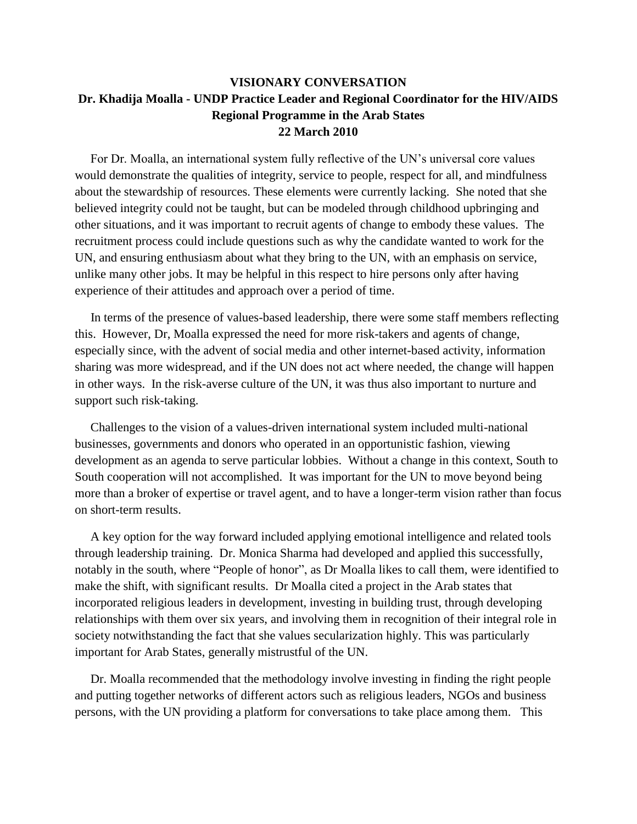## **VISIONARY CONVERSATION Dr. Khadija Moalla - UNDP Practice Leader and Regional Coordinator for the HIV/AIDS Regional Programme in the Arab States 22 March 2010**

 For Dr. Moalla, an international system fully reflective of the UN's universal core values would demonstrate the qualities of integrity, service to people, respect for all, and mindfulness about the stewardship of resources. These elements were currently lacking. She noted that she believed integrity could not be taught, but can be modeled through childhood upbringing and other situations, and it was important to recruit agents of change to embody these values. The recruitment process could include questions such as why the candidate wanted to work for the UN, and ensuring enthusiasm about what they bring to the UN, with an emphasis on service, unlike many other jobs. It may be helpful in this respect to hire persons only after having experience of their attitudes and approach over a period of time.

 In terms of the presence of values-based leadership, there were some staff members reflecting this. However, Dr, Moalla expressed the need for more risk-takers and agents of change, especially since, with the advent of social media and other internet-based activity, information sharing was more widespread, and if the UN does not act where needed, the change will happen in other ways. In the risk-averse culture of the UN, it was thus also important to nurture and support such risk-taking.

 Challenges to the vision of a values-driven international system included multi-national businesses, governments and donors who operated in an opportunistic fashion, viewing development as an agenda to serve particular lobbies. Without a change in this context, South to South cooperation will not accomplished. It was important for the UN to move beyond being more than a broker of expertise or travel agent, and to have a longer-term vision rather than focus on short-term results.

 A key option for the way forward included applying emotional intelligence and related tools through leadership training. Dr. Monica Sharma had developed and applied this successfully, notably in the south, where "People of honor", as Dr Moalla likes to call them, were identified to make the shift, with significant results. Dr Moalla cited a project in the Arab states that incorporated religious leaders in development, investing in building trust, through developing relationships with them over six years, and involving them in recognition of their integral role in society notwithstanding the fact that she values secularization highly. This was particularly important for Arab States, generally mistrustful of the UN.

 Dr. Moalla recommended that the methodology involve investing in finding the right people and putting together networks of different actors such as religious leaders, NGOs and business persons, with the UN providing a platform for conversations to take place among them. This